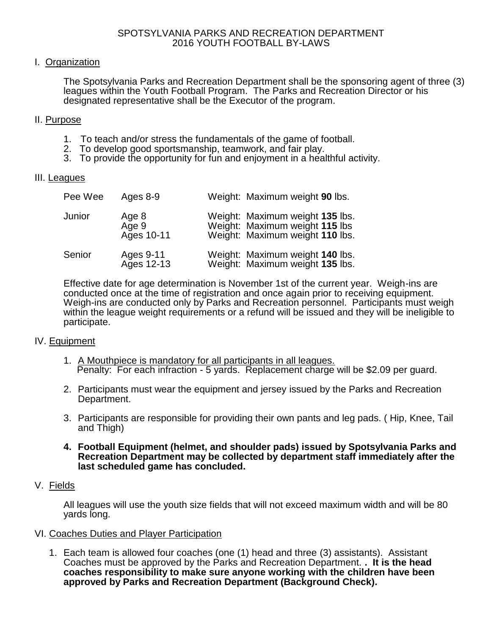## I. Organization

The Spotsylvania Parks and Recreation Department shall be the sponsoring agent of three (3) leagues within the Youth Football Program. The Parks and Recreation Director or his designated representative shall be the Executor of the program.

### II. Purpose

- 1. To teach and/or stress the fundamentals of the game of football.
- 2. To develop good sportsmanship, teamwork, and fair play.
- 3. To provide the opportunity for fun and enjoyment in a healthful activity.

### III. Leagues

| Pee Wee | Ages 8-9                     | Weight: Maximum weight 90 lbs.                                                                       |
|---------|------------------------------|------------------------------------------------------------------------------------------------------|
| Junior  | Age 8<br>Age 9<br>Ages 10-11 | Weight: Maximum weight 135 lbs.<br>Weight: Maximum weight 115 lbs<br>Weight: Maximum weight 110 lbs. |
| Senior  | Ages 9-11<br>Ages 12-13      | Weight: Maximum weight 140 lbs.<br>Weight: Maximum weight 135 lbs.                                   |

Effective date for age determination is November 1st of the current year. Weigh-ins are conducted once at the time of registration and once again prior to receiving equipment. Weigh-ins are conducted only by Parks and Recreation personnel. Participants must weigh within the league weight requirements or a refund will be issued and they will be ineligible to participate.

## IV. Equipment

- 1. A Mouthpiece is mandatory for all participants in all leagues. Penalty: For each infraction - 5 yards. Replacement charge will be \$2.09 per guard.
- 2. Participants must wear the equipment and jersey issued by the Parks and Recreation Department.
- 3. Participants are responsible for providing their own pants and leg pads. ( Hip, Knee, Tail and Thigh)
- **4. Football Equipment (helmet, and shoulder pads) issued by Spotsylvania Parks and Recreation Department may be collected by department staff immediately after the last scheduled game has concluded.**

### V. Fields

All leagues will use the youth size fields that will not exceed maximum width and will be 80 yards long.

### VI. Coaches Duties and Player Participation

1. Each team is allowed four coaches (one (1) head and three (3) assistants). Assistant Coaches must be approved by the Parks and Recreation Department. **. It is the head coaches responsibility to make sure anyone working with the children have been approved by Parks and Recreation Department (Background Check).**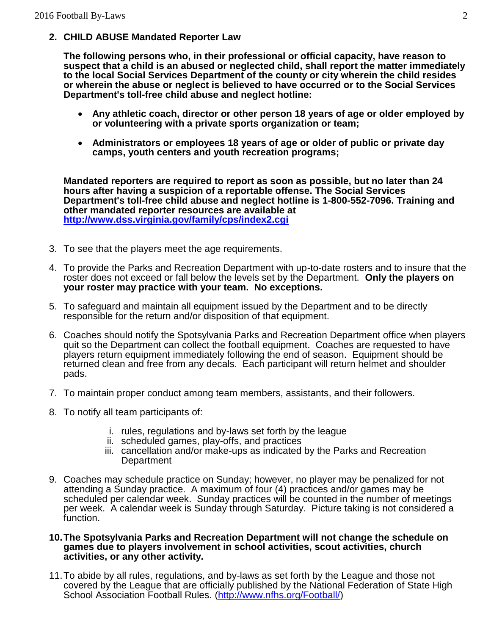## **2. CHILD ABUSE Mandated Reporter Law**

**The following persons who, in their professional or official capacity, have reason to suspect that a child is an abused or neglected child, shall report the matter immediately to the local Social Services Department of the county or city wherein the child resides or wherein the abuse or neglect is believed to have occurred or to the Social Services Department's toll-free child abuse and neglect hotline:**

- **Any athletic coach, director or other person 18 years of age or older employed by or volunteering with a private sports organization or team;**
- **Administrators or employees 18 years of age or older of public or private day camps, youth centers and youth recreation programs;**

**Mandated reporters are required to report as soon as possible, but no later than 24 hours after having a suspicion of a reportable offense. The Social Services Department's toll-free child abuse and neglect hotline is 1-800-552-7096. Training and other mandated reporter resources are available at <http://www.dss.virginia.gov/family/cps/index2.cgi>**

- 3. To see that the players meet the age requirements.
- 4. To provide the Parks and Recreation Department with up-to-date rosters and to insure that the roster does not exceed or fall below the levels set by the Department. **Only the players on your roster may practice with your team. No exceptions.**
- 5. To safeguard and maintain all equipment issued by the Department and to be directly responsible for the return and/or disposition of that equipment.
- 6. Coaches should notify the Spotsylvania Parks and Recreation Department office when players quit so the Department can collect the football equipment. Coaches are requested to have players return equipment immediately following the end of season. Equipment should be returned clean and free from any decals. Each participant will return helmet and shoulder pads.
- 7. To maintain proper conduct among team members, assistants, and their followers.
- 8. To notify all team participants of:
	- i. rules, regulations and by-laws set forth by the league
	- ii. scheduled games, play-offs, and practices
	- iii. cancellation and/or make-ups as indicated by the Parks and Recreation **Department**
- 9. Coaches may schedule practice on Sunday; however, no player may be penalized for not attending a Sunday practice. A maximum of four (4) practices and/or games may be scheduled per calendar week. Sunday practices will be counted in the number of meetings per week. A calendar week is Sunday through Saturday. Picture taking is not considered a function.

### **10.The Spotsylvania Parks and Recreation Department will not change the schedule on games due to players involvement in school activities, scout activities, church activities, or any other activity.**

11.To abide by all rules, regulations, and by-laws as set forth by the League and those not covered by the League that are officially published by the National Federation of State High School Association Football Rules. [\(http://www.nfhs.org/Football/\)](http://www.nfhs.org/Football/)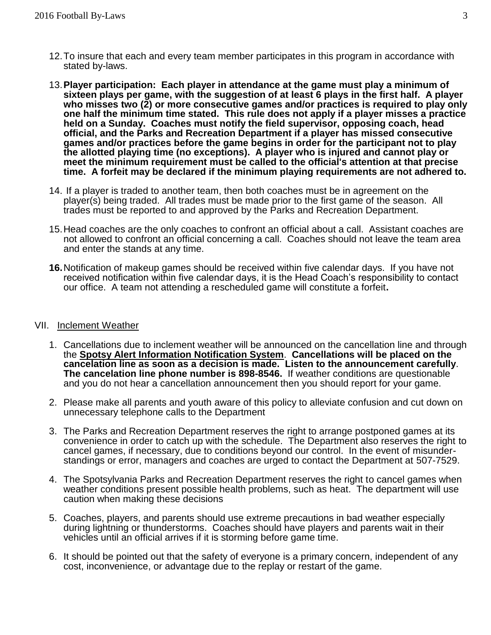- 12.To insure that each and every team member participates in this program in accordance with stated by-laws.
- 13.**Player participation: Each player in attendance at the game must play a minimum of sixteen plays per game, with the suggestion of at least 6 plays in the first half. A player who misses two (2) or more consecutive games and/or practices is required to play only one half the minimum time stated. This rule does not apply if a player misses a practice held on a Sunday. Coaches must notify the field supervisor, opposing coach, head official, and the Parks and Recreation Department if a player has missed consecutive games and/or practices before the game begins in order for the participant not to play the allotted playing time (no exceptions). A player who is injured and cannot play or meet the minimum requirement must be called to the official's attention at that precise time. A forfeit may be declared if the minimum playing requirements are not adhered to.**
- 14. If a player is traded to another team, then both coaches must be in agreement on the player(s) being traded. All trades must be made prior to the first game of the season. All trades must be reported to and approved by the Parks and Recreation Department.
- 15.Head coaches are the only coaches to confront an official about a call. Assistant coaches are not allowed to confront an official concerning a call. Coaches should not leave the team area and enter the stands at any time.
- **16.**Notification of makeup games should be received within five calendar days. If you have not received notification within five calendar days, it is the Head Coach's responsibility to contact our office. A team not attending a rescheduled game will constitute a forfeit**.**

### VII. Inclement Weather

- 1. Cancellations due to inclement weather will be announced on the cancellation line and through the **Spotsy Alert Information Notification System**. **Cancellations will be placed on the cancelation line as soon as a decision is made. Listen to the announcement carefully**. **The cancelation line phone number is 898-8546.** If weather conditions are questionable and you do not hear a cancellation announcement then you should report for your game.
- 2. Please make all parents and youth aware of this policy to alleviate confusion and cut down on unnecessary telephone calls to the Department
- 3. The Parks and Recreation Department reserves the right to arrange postponed games at its convenience in order to catch up with the schedule. The Department also reserves the right to cancel games, if necessary, due to conditions beyond our control. In the event of misunderstandings or error, managers and coaches are urged to contact the Department at 507-7529.
- 4. The Spotsylvania Parks and Recreation Department reserves the right to cancel games when weather conditions present possible health problems, such as heat. The department will use caution when making these decisions
- 5. Coaches, players, and parents should use extreme precautions in bad weather especially during lightning or thunderstorms. Coaches should have players and parents wait in their vehicles until an official arrives if it is storming before game time.
- 6. It should be pointed out that the safety of everyone is a primary concern, independent of any cost, inconvenience, or advantage due to the replay or restart of the game.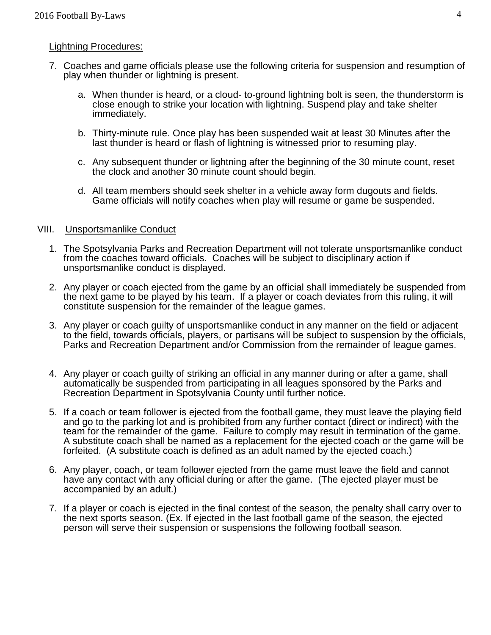## Lightning Procedures:

- 7. Coaches and game officials please use the following criteria for suspension and resumption of play when thunder or lightning is present.
	- a. When thunder is heard, or a cloud- to-ground lightning bolt is seen, the thunderstorm is close enough to strike your location with lightning. Suspend play and take shelter immediately.
	- b. Thirty-minute rule. Once play has been suspended wait at least 30 Minutes after the last thunder is heard or flash of lightning is witnessed prior to resuming play.
	- c. Any subsequent thunder or lightning after the beginning of the 30 minute count, reset the clock and another 30 minute count should begin.
	- d. All team members should seek shelter in a vehicle away form dugouts and fields. Game officials will notify coaches when play will resume or game be suspended.

## VIII. Unsportsmanlike Conduct

- 1. The Spotsylvania Parks and Recreation Department will not tolerate unsportsmanlike conduct from the coaches toward officials. Coaches will be subject to disciplinary action if unsportsmanlike conduct is displayed.
- 2. Any player or coach ejected from the game by an official shall immediately be suspended from the next game to be played by his team. If a player or coach deviates from this ruling, it will constitute suspension for the remainder of the league games.
- 3. Any player or coach guilty of unsportsmanlike conduct in any manner on the field or adjacent to the field, towards officials, players, or partisans will be subject to suspension by the officials, Parks and Recreation Department and/or Commission from the remainder of league games.
- 4. Any player or coach guilty of striking an official in any manner during or after a game, shall automatically be suspended from participating in all leagues sponsored by the Parks and Recreation Department in Spotsylvania County until further notice.
- 5. If a coach or team follower is ejected from the football game, they must leave the playing field and go to the parking lot and is prohibited from any further contact (direct or indirect) with the team for the remainder of the game. Failure to comply may result in termination of the game. A substitute coach shall be named as a replacement for the ejected coach or the game will be forfeited. (A substitute coach is defined as an adult named by the ejected coach.)
- 6. Any player, coach, or team follower ejected from the game must leave the field and cannot have any contact with any official during or after the game. (The ejected player must be accompanied by an adult.)
- 7. If a player or coach is ejected in the final contest of the season, the penalty shall carry over to the next sports season. (Ex. If ejected in the last football game of the season, the ejected person will serve their suspension or suspensions the following football season.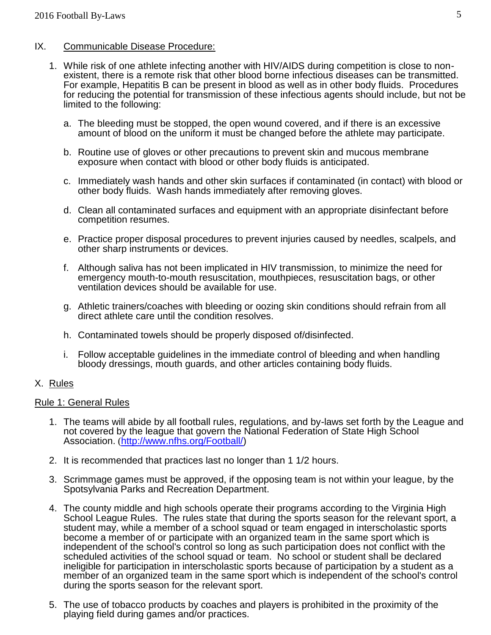# IX. Communicable Disease Procedure:

- 1. While risk of one athlete infecting another with HIV/AIDS during competition is close to nonexistent, there is a remote risk that other blood borne infectious diseases can be transmitted. For example, Hepatitis B can be present in blood as well as in other body fluids. Procedures for reducing the potential for transmission of these infectious agents should include, but not be limited to the following:
	- a. The bleeding must be stopped, the open wound covered, and if there is an excessive amount of blood on the uniform it must be changed before the athlete may participate.
	- b. Routine use of gloves or other precautions to prevent skin and mucous membrane exposure when contact with blood or other body fluids is anticipated.
	- c. Immediately wash hands and other skin surfaces if contaminated (in contact) with blood or other body fluids. Wash hands immediately after removing gloves.
	- d. Clean all contaminated surfaces and equipment with an appropriate disinfectant before competition resumes.
	- e. Practice proper disposal procedures to prevent injuries caused by needles, scalpels, and other sharp instruments or devices.
	- f. Although saliva has not been implicated in HIV transmission, to minimize the need for emergency mouth-to-mouth resuscitation, mouthpieces, resuscitation bags, or other ventilation devices should be available for use.
	- g. Athletic trainers/coaches with bleeding or oozing skin conditions should refrain from all direct athlete care until the condition resolves.
	- h. Contaminated towels should be properly disposed of/disinfected.
	- i. Follow acceptable guidelines in the immediate control of bleeding and when handling bloody dressings, mouth guards, and other articles containing body fluids.

# X. Rules

## Rule 1: General Rules

- 1. The teams will abide by all football rules, regulations, and by-laws set forth by the League and not covered by the league that govern the National Federation of State High School Association. ([http://www.nfhs.org/Football/\)](http://www.nfhs.org/Football/)
- 2. It is recommended that practices last no longer than 1 1/2 hours.
- 3. Scrimmage games must be approved, if the opposing team is not within your league, by the Spotsylvania Parks and Recreation Department.
- 4. The county middle and high schools operate their programs according to the Virginia High School League Rules. The rules state that during the sports season for the relevant sport, a student may, while a member of a school squad or team engaged in interscholastic sports become a member of or participate with an organized team in the same sport which is independent of the school's control so long as such participation does not conflict with the scheduled activities of the school squad or team. No school or student shall be declared ineligible for participation in interscholastic sports because of participation by a student as a member of an organized team in the same sport which is independent of the school's control during the sports season for the relevant sport.
- 5. The use of tobacco products by coaches and players is prohibited in the proximity of the playing field during games and/or practices.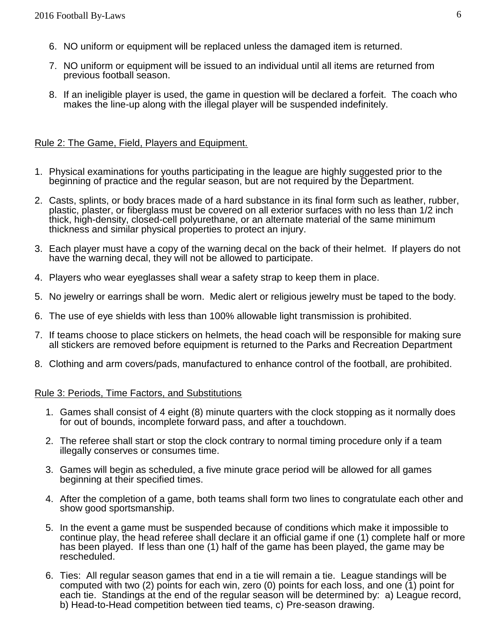- 6. NO uniform or equipment will be replaced unless the damaged item is returned.
- 7. NO uniform or equipment will be issued to an individual until all items are returned from previous football season.
- 8. If an ineligible player is used, the game in question will be declared a forfeit. The coach who makes the line-up along with the illegal player will be suspended indefinitely.

## Rule 2: The Game, Field, Players and Equipment.

- 1. Physical examinations for youths participating in the league are highly suggested prior to the beginning of practice and the regular season, but are not required by the Department.
- 2. Casts, splints, or body braces made of a hard substance in its final form such as leather, rubber, plastic, plaster, or fiberglass must be covered on all exterior surfaces with no less than 1/2 inch thick, high-density, closed-cell polyurethane, or an alternate material of the same minimum thickness and similar physical properties to protect an injury.
- 3. Each player must have a copy of the warning decal on the back of their helmet. If players do not have the warning decal, they will not be allowed to participate.
- 4. Players who wear eyeglasses shall wear a safety strap to keep them in place.
- 5. No jewelry or earrings shall be worn. Medic alert or religious jewelry must be taped to the body.
- 6. The use of eye shields with less than 100% allowable light transmission is prohibited.
- 7. If teams choose to place stickers on helmets, the head coach will be responsible for making sure all stickers are removed before equipment is returned to the Parks and Recreation Department
- 8. Clothing and arm covers/pads, manufactured to enhance control of the football, are prohibited.

## Rule 3: Periods, Time Factors, and Substitutions

- 1. Games shall consist of 4 eight (8) minute quarters with the clock stopping as it normally does for out of bounds, incomplete forward pass, and after a touchdown.
- 2. The referee shall start or stop the clock contrary to normal timing procedure only if a team illegally conserves or consumes time.
- 3. Games will begin as scheduled, a five minute grace period will be allowed for all games beginning at their specified times.
- 4. After the completion of a game, both teams shall form two lines to congratulate each other and show good sportsmanship.
- 5. In the event a game must be suspended because of conditions which make it impossible to continue play, the head referee shall declare it an official game if one (1) complete half or more has been played. If less than one (1) half of the game has been played, the game may be rescheduled.
- 6. Ties: All regular season games that end in a tie will remain a tie. League standings will be computed with two (2) points for each win, zero (0) points for each loss, and one (1) point for each tie. Standings at the end of the regular season will be determined by: a) League record, b) Head-to-Head competition between tied teams, c) Pre-season drawing.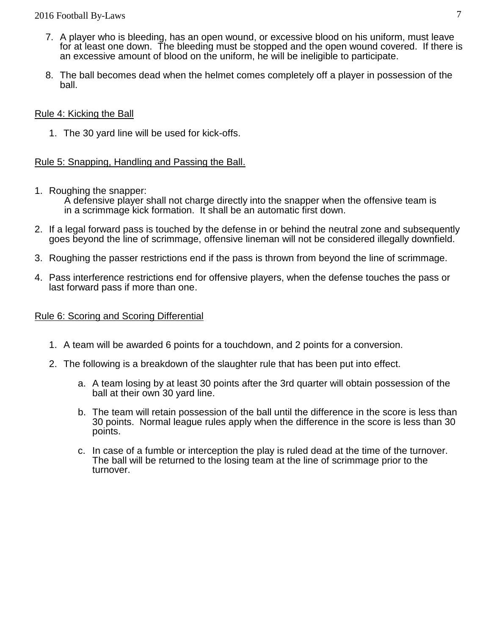## 2016 Football By-Laws 7

- 7. A player who is bleeding, has an open wound, or excessive blood on his uniform, must leave for at least one down. The bleeding must be stopped and the open wound covered. If there is an excessive amount of blood on the uniform, he will be ineligible to participate.
- 8. The ball becomes dead when the helmet comes completely off a player in possession of the ball.

## Rule 4: Kicking the Ball

1. The 30 yard line will be used for kick-offs.

# Rule 5: Snapping, Handling and Passing the Ball.

1. Roughing the snapper:

 A defensive player shall not charge directly into the snapper when the offensive team is in a scrimmage kick formation. It shall be an automatic first down.

- 2. If a legal forward pass is touched by the defense in or behind the neutral zone and subsequently goes beyond the line of scrimmage, offensive lineman will not be considered illegally downfield.
- 3. Roughing the passer restrictions end if the pass is thrown from beyond the line of scrimmage.
- 4. Pass interference restrictions end for offensive players, when the defense touches the pass or last forward pass if more than one.

## Rule 6: Scoring and Scoring Differential

- 1. A team will be awarded 6 points for a touchdown, and 2 points for a conversion.
- 2. The following is a breakdown of the slaughter rule that has been put into effect.
	- a. A team losing by at least 30 points after the 3rd quarter will obtain possession of the ball at their own 30 yard line.
	- b. The team will retain possession of the ball until the difference in the score is less than 30 points. Normal league rules apply when the difference in the score is less than 30 points.
	- c. In case of a fumble or interception the play is ruled dead at the time of the turnover. The ball will be returned to the losing team at the line of scrimmage prior to the turnover.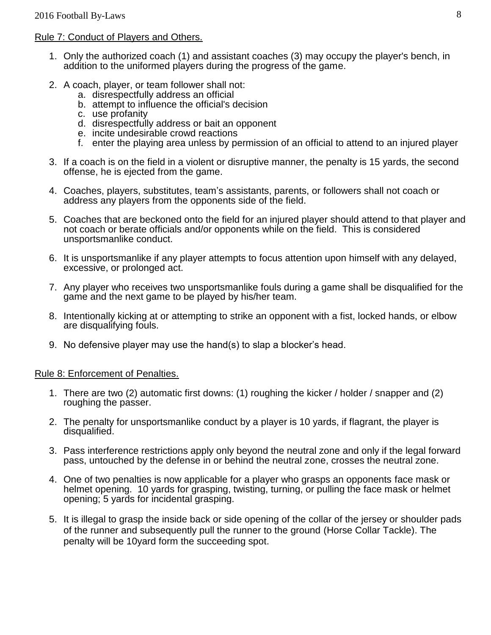## Rule 7: Conduct of Players and Others.

- 1. Only the authorized coach (1) and assistant coaches (3) may occupy the player's bench, in addition to the uniformed players during the progress of the game.
- 2. A coach, player, or team follower shall not:
	- a. disrespectfully address an official
	- b. attempt to influence the official's decision
	- c. use profanity
	- d. disrespectfully address or bait an opponent
	- e. incite undesirable crowd reactions
	- f. enter the playing area unless by permission of an official to attend to an injured player
- 3. If a coach is on the field in a violent or disruptive manner, the penalty is 15 yards, the second offense, he is ejected from the game.
- 4. Coaches, players, substitutes, team's assistants, parents, or followers shall not coach or address any players from the opponents side of the field.
- 5. Coaches that are beckoned onto the field for an injured player should attend to that player and not coach or berate officials and/or opponents while on the field. This is considered unsportsmanlike conduct.
- 6. It is unsportsmanlike if any player attempts to focus attention upon himself with any delayed, excessive, or prolonged act.
- 7. Any player who receives two unsportsmanlike fouls during a game shall be disqualified for the game and the next game to be played by his/her team.
- 8. Intentionally kicking at or attempting to strike an opponent with a fist, locked hands, or elbow are disqualifying fouls.
- 9. No defensive player may use the hand(s) to slap a blocker's head.

## Rule 8: Enforcement of Penalties.

- 1. There are two (2) automatic first downs: (1) roughing the kicker / holder / snapper and (2) roughing the passer.
- 2. The penalty for unsportsmanlike conduct by a player is 10 yards, if flagrant, the player is disqualified.
- 3. Pass interference restrictions apply only beyond the neutral zone and only if the legal forward pass, untouched by the defense in or behind the neutral zone, crosses the neutral zone.
- 4. One of two penalties is now applicable for a player who grasps an opponents face mask or helmet opening. 10 yards for grasping, twisting, turning, or pulling the face mask or helmet opening; 5 yards for incidental grasping.
- 5. It is illegal to grasp the inside back or side opening of the collar of the jersey or shoulder pads of the runner and subsequently pull the runner to the ground (Horse Collar Tackle). The penalty will be 10yard form the succeeding spot.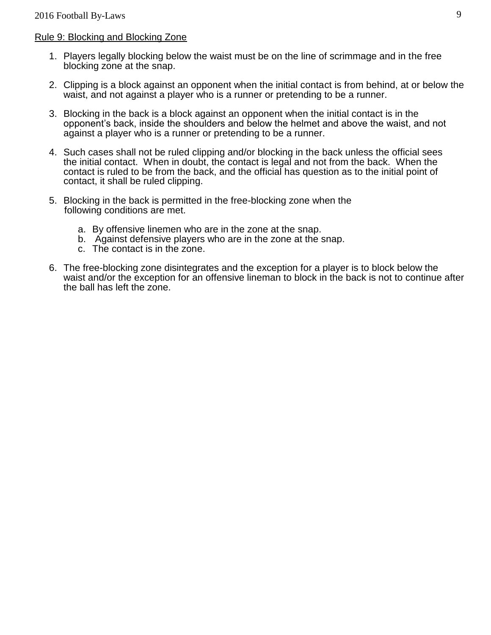## Rule 9: Blocking and Blocking Zone

- 1. Players legally blocking below the waist must be on the line of scrimmage and in the free blocking zone at the snap.
- 2. Clipping is a block against an opponent when the initial contact is from behind, at or below the waist, and not against a player who is a runner or pretending to be a runner.
- 3. Blocking in the back is a block against an opponent when the initial contact is in the opponent's back, inside the shoulders and below the helmet and above the waist, and not against a player who is a runner or pretending to be a runner.
- 4. Such cases shall not be ruled clipping and/or blocking in the back unless the official sees the initial contact. When in doubt, the contact is legal and not from the back. When the contact is ruled to be from the back, and the official has question as to the initial point of contact, it shall be ruled clipping.
- 5. Blocking in the back is permitted in the free-blocking zone when the following conditions are met.
	- a. By offensive linemen who are in the zone at the snap.
	- b. Against defensive players who are in the zone at the snap.
	- c. The contact is in the zone.
- 6. The free-blocking zone disintegrates and the exception for a player is to block below the waist and/or the exception for an offensive lineman to block in the back is not to continue after the ball has left the zone.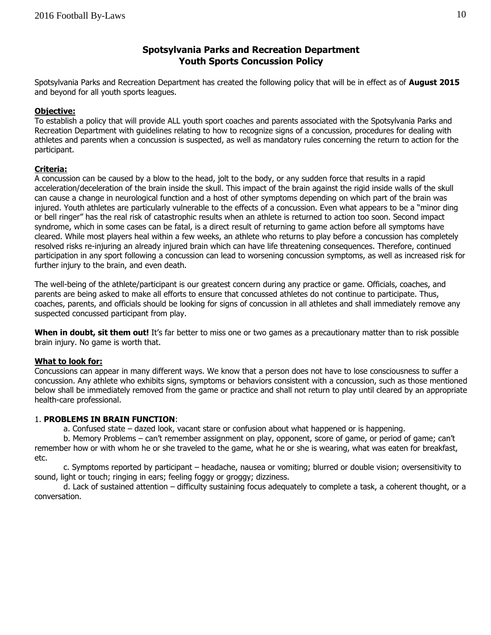## **Spotsylvania Parks and Recreation Department Youth Sports Concussion Policy**

Spotsylvania Parks and Recreation Department has created the following policy that will be in effect as of **August 2015**  and beyond for all youth sports leagues.

### **Objective:**

To establish a policy that will provide ALL youth sport coaches and parents associated with the Spotsylvania Parks and Recreation Department with guidelines relating to how to recognize signs of a concussion, procedures for dealing with athletes and parents when a concussion is suspected, as well as mandatory rules concerning the return to action for the participant.

### **Criteria:**

A concussion can be caused by a blow to the head, jolt to the body, or any sudden force that results in a rapid acceleration/deceleration of the brain inside the skull. This impact of the brain against the rigid inside walls of the skull can cause a change in neurological function and a host of other symptoms depending on which part of the brain was injured. Youth athletes are particularly vulnerable to the effects of a concussion. Even what appears to be a "minor ding or bell ringer" has the real risk of catastrophic results when an athlete is returned to action too soon. Second impact syndrome, which in some cases can be fatal, is a direct result of returning to game action before all symptoms have cleared. While most players heal within a few weeks, an athlete who returns to play before a concussion has completely resolved risks re-injuring an already injured brain which can have life threatening consequences. Therefore, continued participation in any sport following a concussion can lead to worsening concussion symptoms, as well as increased risk for further injury to the brain, and even death.

The well-being of the athlete/participant is our greatest concern during any practice or game. Officials, coaches, and parents are being asked to make all efforts to ensure that concussed athletes do not continue to participate. Thus, coaches, parents, and officials should be looking for signs of concussion in all athletes and shall immediately remove any suspected concussed participant from play.

**When in doubt, sit them out!** It's far better to miss one or two games as a precautionary matter than to risk possible brain injury. No game is worth that.

#### **What to look for:**

Concussions can appear in many different ways. We know that a person does not have to lose consciousness to suffer a concussion. Any athlete who exhibits signs, symptoms or behaviors consistent with a concussion, such as those mentioned below shall be immediately removed from the game or practice and shall not return to play until cleared by an appropriate health-care professional.

#### 1. **PROBLEMS IN BRAIN FUNCTION**:

a. Confused state – dazed look, vacant stare or confusion about what happened or is happening.

b. Memory Problems – can't remember assignment on play, opponent, score of game, or period of game; can't remember how or with whom he or she traveled to the game, what he or she is wearing, what was eaten for breakfast, etc.

c. Symptoms reported by participant – headache, nausea or vomiting; blurred or double vision; oversensitivity to sound, light or touch; ringing in ears; feeling foggy or groggy; dizziness.

d. Lack of sustained attention – difficulty sustaining focus adequately to complete a task, a coherent thought, or a conversation.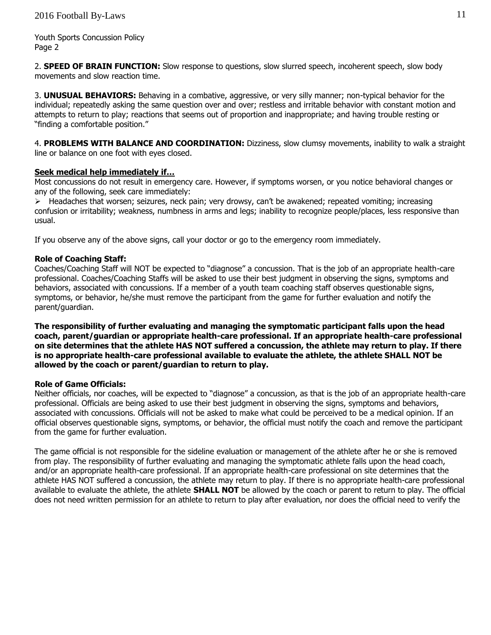Youth Sports Concussion Policy Page 2

2. **SPEED OF BRAIN FUNCTION:** Slow response to questions, slow slurred speech, incoherent speech, slow body movements and slow reaction time.

3. **UNUSUAL BEHAVIORS:** Behaving in a combative, aggressive, or very silly manner; non-typical behavior for the individual; repeatedly asking the same question over and over; restless and irritable behavior with constant motion and attempts to return to play; reactions that seems out of proportion and inappropriate; and having trouble resting or "finding a comfortable position."

4. **PROBLEMS WITH BALANCE AND COORDINATION:** Dizziness, slow clumsy movements, inability to walk a straight line or balance on one foot with eyes closed.

### **Seek medical help immediately if…**

Most concussions do not result in emergency care. However, if symptoms worsen, or you notice behavioral changes or any of the following, seek care immediately:

> Headaches that worsen; seizures, neck pain; very drowsy, can't be awakened; repeated vomiting; increasing confusion or irritability; weakness, numbness in arms and legs; inability to recognize people/places, less responsive than usual.

If you observe any of the above signs, call your doctor or go to the emergency room immediately.

#### **Role of Coaching Staff:**

Coaches/Coaching Staff will NOT be expected to "diagnose" a concussion. That is the job of an appropriate health-care professional. Coaches/Coaching Staffs will be asked to use their best judgment in observing the signs, symptoms and behaviors, associated with concussions. If a member of a youth team coaching staff observes questionable signs, symptoms, or behavior, he/she must remove the participant from the game for further evaluation and notify the parent/guardian.

**The responsibility of further evaluating and managing the symptomatic participant falls upon the head coach, parent/guardian or appropriate health-care professional. If an appropriate health-care professional on site determines that the athlete HAS NOT suffered a concussion, the athlete may return to play. If there is no appropriate health-care professional available to evaluate the athlete, the athlete SHALL NOT be allowed by the coach or parent/guardian to return to play.** 

#### **Role of Game Officials:**

Neither officials, nor coaches, will be expected to "diagnose" a concussion, as that is the job of an appropriate health-care professional. Officials are being asked to use their best judgment in observing the signs, symptoms and behaviors, associated with concussions. Officials will not be asked to make what could be perceived to be a medical opinion. If an official observes questionable signs, symptoms, or behavior, the official must notify the coach and remove the participant from the game for further evaluation.

The game official is not responsible for the sideline evaluation or management of the athlete after he or she is removed from play. The responsibility of further evaluating and managing the symptomatic athlete falls upon the head coach, and/or an appropriate health-care professional. If an appropriate health-care professional on site determines that the athlete HAS NOT suffered a concussion, the athlete may return to play. If there is no appropriate health-care professional available to evaluate the athlete, the athlete **SHALL NOT** be allowed by the coach or parent to return to play. The official does not need written permission for an athlete to return to play after evaluation, nor does the official need to verify the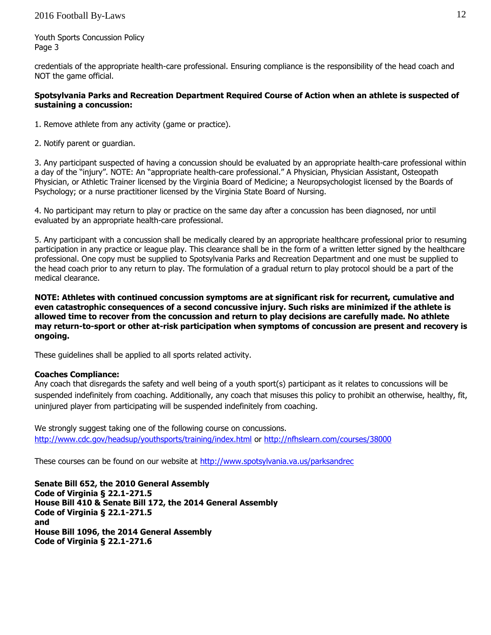Youth Sports Concussion Policy Page 3

credentials of the appropriate health-care professional. Ensuring compliance is the responsibility of the head coach and NOT the game official.

### **Spotsylvania Parks and Recreation Department Required Course of Action when an athlete is suspected of sustaining a concussion:**

- 1. Remove athlete from any activity (game or practice).
- 2. Notify parent or guardian.

3. Any participant suspected of having a concussion should be evaluated by an appropriate health-care professional within a day of the "injury". NOTE: An "appropriate health-care professional." A Physician, Physician Assistant, Osteopath Physician, or Athletic Trainer licensed by the Virginia Board of Medicine; a Neuropsychologist licensed by the Boards of Psychology; or a nurse practitioner licensed by the Virginia State Board of Nursing.

4. No participant may return to play or practice on the same day after a concussion has been diagnosed, nor until evaluated by an appropriate health-care professional.

5. Any participant with a concussion shall be medically cleared by an appropriate healthcare professional prior to resuming participation in any practice or league play. This clearance shall be in the form of a written letter signed by the healthcare professional. One copy must be supplied to Spotsylvania Parks and Recreation Department and one must be supplied to the head coach prior to any return to play. The formulation of a gradual return to play protocol should be a part of the medical clearance.

**NOTE: Athletes with continued concussion symptoms are at significant risk for recurrent, cumulative and even catastrophic consequences of a second concussive injury. Such risks are minimized if the athlete is allowed time to recover from the concussion and return to play decisions are carefully made. No athlete may return-to-sport or other at-risk participation when symptoms of concussion are present and recovery is ongoing.** 

These guidelines shall be applied to all sports related activity.

#### **Coaches Compliance:**

Any coach that disregards the safety and well being of a youth sport(s) participant as it relates to concussions will be suspended indefinitely from coaching. Additionally, any coach that misuses this policy to prohibit an otherwise, healthy, fit, uninjured player from participating will be suspended indefinitely from coaching.

We strongly suggest taking one of the following course on concussions. <http://www.cdc.gov/headsup/youthsports/training/index.html> or<http://nfhslearn.com/courses/38000>

These courses can be found on our website at [http://www.spotsylvania.va.us/parksa](http://www.spotsylvania.va.us/parks)ndrec

**Senate Bill 652, the 2010 General Assembly Code of Virginia § 22.1-271.5 House Bill 410 & Senate Bill 172, the 2014 General Assembly Code of Virginia § 22.1-271.5 and House Bill 1096, the 2014 General Assembly Code of Virginia § 22.1-271.6**